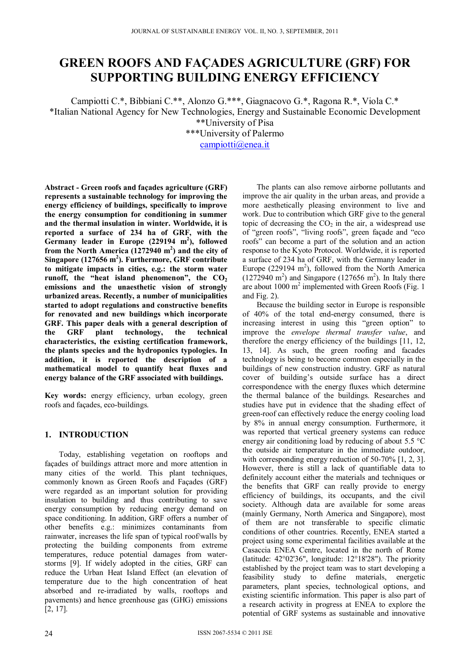# **GREEN ROOFS AND FAÇADES AGRICULTURE (GRF) FOR SUPPORTING BUILDING ENERGY EFFICIENCY**

Campiotti C.\*, Bibbiani C.\*\*, Alonzo G.\*\*\*, Giagnacovo G.\*, Ragona R.\*, Viola C.\* \*Italian National Agency for New Technologies, Energy and Sustainable Economic Development

\*\*University of Pisa

\*\*\*University of Palermo

campiotti@enea.it

**Abstract - Green roofs and façades agriculture (GRF) represents a sustainable technology for improving the energy efficiency of buildings, specifically to improve the energy consumption for conditioning in summer and the thermal insulation in winter. Worldwide, it is reported a surface of 234 ha of GRF, with the**  Germany leader in Europe (229194 m<sup>2</sup>), followed from the North America (1272940 m<sup>2</sup>) and the city of Singapore (127656 m<sup>2</sup>). Furthermore, GRF contribute **to mitigate impacts in cities, e.g.: the storm water**  runoff, the "heat island phenomenon", the  $CO<sub>2</sub>$ **emissions and the unaesthetic vision of strongly urbanized areas. Recently, a number of municipalities started to adopt regulations and constructive benefits for renovated and new buildings which incorporate GRF. This paper deals with a general description of the GRF plant technology, the technical characteristics, the existing certification framework, the plants species and the hydroponics typologies. In addition, it is reported the description of a mathematical model to quantify heat fluxes and energy balance of the GRF associated with buildings.**

**Key words:** energy efficiency, urban ecology, green roofs and façades, eco-buildings.

# **1. INTRODUCTION**

Today, establishing vegetation on rooftops and façades of buildings attract more and more attention in many cities of the world. This plant techniques, commonly known as Green Roofs and Façades (GRF) were regarded as an important solution for providing insulation to building and thus contributing to save energy consumption by reducing energy demand on space conditioning. In addition, GRF offers a number of other benefits e.g.: minimizes contaminants from rainwater, increases the life span of typical roof/walls by protecting the building components from extreme temperatures, reduce potential damages from waterstorms [9]. If widely adopted in the cities, GRF can reduce the Urban Heat Island Effect (an elevation of temperature due to the high concentration of heat absorbed and re-irradiated by walls, rooftops and pavements) and hence greenhouse gas (GHG) emissions [2, 17].

The plants can also remove airborne pollutants and improve the air quality in the urban areas, and provide a more aesthetically pleasing environment to live and work. Due to contribution which GRF give to the general topic of decreasing the  $CO<sub>2</sub>$  in the air, a widespread use of "green roofs", "living roofs", green façade and "eco roofs" can become a part of the solution and an action response to the Kyoto Protocol. Worldwide, it is reported a surface of 234 ha of GRF, with the Germany leader in Europe (229194  $m^2$ ), followed from the North America  $(1272940 \text{ m}^2)$  and Singapore  $(127656 \text{ m}^2)$ . In Italy there are about 1000 m<sup>2</sup> implemented with Green Roofs (Fig. 1) and Fig. 2).

Because the building sector in Europe is responsible of 40% of the total end-energy consumed, there is increasing interest in using this "green option" to improve the *envelope thermal transfer value*, and therefore the energy efficiency of the buildings [11, 12, 13, 14]. As such, the green roofing and facades technology is being to become common especially in the buildings of new construction industry. GRF as natural cover of building's outside surface has a direct correspondence with the energy fluxes which determine the thermal balance of the buildings. Researches and studies have put in evidence that the shading effect of green-roof can effectively reduce the energy cooling load by 8% in annual energy consumption. Furthermore, it was reported that vertical greenery systems can reduce energy air conditioning load by reducing of about 5.5 °C the outside air temperature in the immediate outdoor, with corresponding energy reduction of 50-70% [1, 2, 3]. However, there is still a lack of quantifiable data to definitely account either the materials and techniques or the benefits that GRF can really provide to energy efficiency of buildings, its occupants, and the civil society. Although data are available for some areas (mainly Germany, North America and Singapore), most of them are not transferable to specific climatic conditions of other countries. Recently, ENEA started a project using some experimental facilities available at the Casaccia ENEA Centre, located in the north of Rome (latitude: 42°02'36", longitude: 12°18'28"). The priority established by the project team was to start developing a feasibility study to define materials, energetic parameters, plant species, technological options, and existing scientific information. This paper is also part of a research activity in progress at ENEA to explore the potential of GRF systems as sustainable and innovative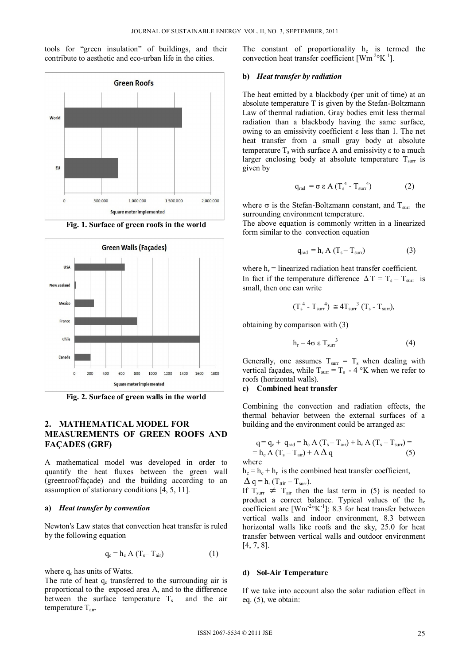tools for "green insulation" of buildings, and their contribute to aesthetic and eco-urban life in the cities.



**Fig. 1. Surface of green roofs in the world** 



**Fig. 2. Surface of green walls in the world** 

## **2. MATHEMATICAL MODEL FOR MEASUREMENTS OF GREEN ROOFS AND FAÇADES (GRF)**

A mathematical model was developed in order to quantify the heat fluxes between the green wall (greenroof/façade) and the building according to an assumption of stationary conditions [4, 5, 11].

### **a)** *Heat transfer by convention*

Newton's Law states that convection heat transfer is ruled by the following equation

$$
q_c = h_c A (T_s - T_{air})
$$
 (1)

where  $q_c$  has units of Watts.

The rate of heat  $q_c$  transferred to the surrounding air is proportional to the exposed area A, and to the difference between the surface temperature  $T_s$  and the air temperature Tair.

The constant of proportionality  $h_c$  is termed the convection heat transfer coefficient  $[Wm^{-2}{}^{\circ}K^{-1}].$ 

#### **b)** *Heat transfer by radiation*

The heat emitted by a blackbody (per unit of time) at an absolute temperature T is given by the Stefan-Boltzmann Law of thermal radiation. Gray bodies emit less thermal radiation than a blackbody having the same surface, owing to an emissivity coefficient  $\varepsilon$  less than 1. The net heat transfer from a small gray body at absolute temperature  $T_s$  with surface A and emissivity  $\varepsilon$  to a much larger enclosing body at absolute temperature  $T<sub>sur</sub>$  is given by

$$
q_{rad} = \sigma \epsilon A (T_s^4 - T_{surf}^4)
$$
 (2)

where  $\sigma$  is the Stefan-Boltzmann constant, and T<sub>surr</sub> the surrounding environment temperature.

The above equation is commonly written in a linearized form similar to the convection equation

$$
q_{rad} = h_r A (T_s - T_{surr})
$$
 (3)

where  $h_r$  = linearized radiation heat transfer coefficient. In fact if the temperature difference  $\Delta T = T_s - T_{surr}$  is small, then one can write

$$
(\mathrm{T_s}^4 - \mathrm{T_{\rm{surf}}}^4) \cong 4 \mathrm{T_{\rm{surf}}}^3 (\mathrm{T_s} - \mathrm{T_{\rm{surf}}}),
$$

obtaining by comparison with (3)

$$
h_r = 4\sigma \epsilon T_{\text{surr}}^3 \tag{4}
$$

Generally, one assumes  $T<sub>surr</sub> = T<sub>s</sub>$  when dealing with vertical façades, while  $T_{\text{sur}} = T_s - 4$  °K when we refer to roofs (horizontal walls).

#### **c) Combined heat transfer**

Combining the convection and radiation effects, the thermal behavior between the external surfaces of a building and the environment could be arranged as:

$$
q = q_c + q_{rad} = h_c A (T_s - T_{air}) + h_r A (T_s - T_{sur}) =
$$
  
= h\_c A (T\_s - T\_{air}) + A  $\Delta$  q (5)

where

 $h_e = h_c + h_r$  is the combined heat transfer coefficient,

$$
\Delta q = h_r (T_{air} - T_{surr}).
$$

If  $T_{\text{surr}} \neq T_{\text{air}}$  then the last term in (5) is needed to product a correct balance. Typical values of the he coefficient are  $[Wm^{-2}K^{-1}]$ : 8.3 for heat transfer between vertical walls and indoor environment, 8.3 between horizontal walls like roofs and the sky, 25.0 for heat transfer between vertical walls and outdoor environment [4, 7, 8].

#### **d) Sol-Air Temperature**

If we take into account also the solar radiation effect in eq. (5), we obtain: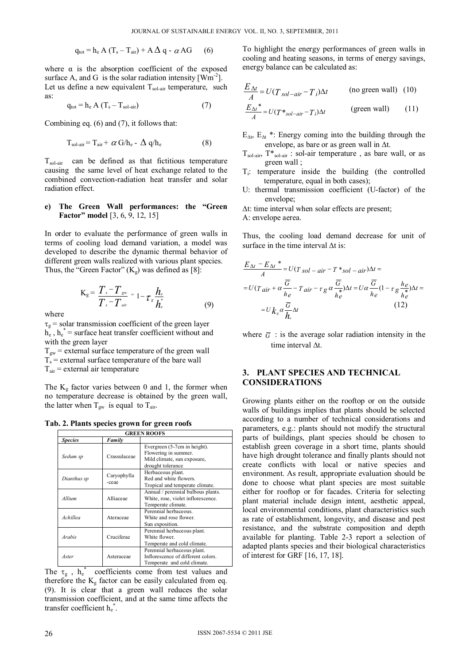$$
q_{\text{tot}} = h_{\text{e}} A (T_{\text{s}} - T_{\text{air}}) + A \Delta q - \alpha A G \qquad (6)
$$

where  $\alpha$  is the absorption coefficient of the exposed surface A, and G is the solar radiation intensity  $[Wm^2]$ . Let us define a new equivalent  $T_{sol-air}$  temperature, such as:

$$
q_{\text{tot}} = h_{e} A (T_{s} - T_{\text{sol-air}})
$$
 (7)

Combining eq. (6) and (7), it follows that:

$$
T_{sol-air} = T_{air} + \alpha G/h_e - \Delta q/h_e
$$
 (8)

 $T_{\text{solar}}$  can be defined as that fictitious temperature causing the same level of heat exchange related to the combined convection-radiation heat transfer and solar radiation effect.

## **e) The Green Wall performances: the "Green Factor" model** [3, 6, 9, 12, 15]

In order to evaluate the performance of green walls in terms of cooling load demand variation, a model was developed to describe the dynamic thermal behavior of different green walls realized with various plant species. Thus, the "Green Factor"  $(K_g)$  was defined as [8]:

$$
K_g = \frac{T_s - T_{gw}}{T_s - T_{air}} = 1 - \tau_g \frac{h_e}{h_e^*}
$$
(9)

where

 $\tau_{\rm g}$  = solar transmission coefficient of the green layer  $h_{e}$ ,  $h_{e}^{*}$  = surface heat transfer coefficient without and with the green layer

 $T_{gw}$  = external surface temperature of the green wall  $T_s$  = external surface temperature of the bare wall  $T_{\text{air}}$  = external air temperature

The  $K_g$  factor varies between 0 and 1, the former when no temperature decrease is obtained by the green wall, the latter when  $T_{gw}$  is equal to  $T_{air}$ .

**Tab. 2. Plants species grown for green roofs** 

| <b>GREEN ROOFS</b> |                      |                                                                                                          |  |  |
|--------------------|----------------------|----------------------------------------------------------------------------------------------------------|--|--|
| <b>Species</b>     | Family               |                                                                                                          |  |  |
| Sedum sp           | Crassulaceae         | Evergreen (5-7cm in height).<br>Flowering in summer.<br>Mild climate, sun exposure,<br>drought tolerance |  |  |
| Dianthus sp        | Caryophylla<br>-ceae | Herbaceous plant.<br>Red and white flowers.<br>Tropical and temperate climate.                           |  |  |
| Allium             | Alliaceae            | Annual / perennial bulbous plants.<br>White, rose, violet inflorescence.<br>Temperate climate.           |  |  |
| Achillea           | Ateraceae            | Perennial herbaceous.<br>White and rose flower.<br>Sun exposition.                                       |  |  |
| Arabis             | Cruciferae           | Perennial herbaceous plant.<br>White flower.<br>Temperate and cold climate.                              |  |  |
| Aster              | Asteraceae           | Perennial herbaceous plant.<br>Inflorescence of different colors.<br>Temperate and cold climate.         |  |  |

The  $\tau_g$ ,  $h_e^*$  coefficients come from test values and therefore the  $K<sub>g</sub>$  factor can be easily calculated from eq. (9). It is clear that a green wall reduces the solar transmission coefficient, and at the same time affects the transfer coefficient  $h_e^*$ .

To highlight the energy performances of green walls in cooling and heating seasons, in terms of energy savings, energy balance can be calculated as:

$$
\frac{E_{\Delta t}}{A} = U(T_{sol-air} - T_i)\Delta t
$$
 (no green wall) (10)  
\n
$$
\frac{E_{\Delta t}}{A}^* = U(T *_{sol-air} - T_i)\Delta t
$$
 (green wall) (11)

 $E_{\Delta t}$ ,  $E_{\Delta t}$  \*: Energy coming into the building through the envelope, as bare or as green wall in  $\Delta t$ .

- Tsol-air, T\*sol-air : sol-air temperature , as bare wall, or as green wall ;
- Ti: temperature inside the building (the controlled temperature, equal in both cases);
- U: thermal transmission coefficient (U-factor) of the envelope;
- $\Delta t$ : time interval when solar effects are present;

A: envelope aerea.

Thus, the cooling load demand decrease for unit of surface in the time interval  $\Delta t$  is:

$$
\frac{E_{\Delta t} - E_{\Delta t}}{A} = U(T_{sol} - air - T_{sol} - air)\Delta t =
$$
\n
$$
= U(T_{air} + \alpha \frac{\overline{G}}{h_e} - T_{air} - \tau g \alpha \frac{\overline{G}}{h_e})\Delta t = U\alpha \frac{\overline{G}}{h_e} (1 - \tau g \frac{h_e}{h_e})\Delta t =
$$
\n
$$
= U k_s \alpha \frac{\overline{G}}{h_e} \Delta t
$$
\n(12)

where  $\overline{G}$  : is the average solar radiation intensity in the time interval  $\Delta t$ .

## **3. PLANT SPECIES AND TECHNICAL CONSIDERATIONS**

Growing plants either on the rooftop or on the outside walls of buildings implies that plants should be selected according to a number of technical considerations and parameters, e.g.: plants should not modify the structural parts of buildings, plant species should be chosen to establish green coverage in a short time, plants should have high drought tolerance and finally plants should not create conflicts with local or native species and environment. As result, appropriate evaluation should be done to choose what plant species are most suitable either for rooftop or for facades. Criteria for selecting plant material include design intent, aesthetic appeal, local environmental conditions, plant characteristics such as rate of establishment, longevity, and disease and pest resistance, and the substrate composition and depth available for planting. Table 2-3 report a selection of adapted plants species and their biological characteristics of interest for GRF [16, 17, 18].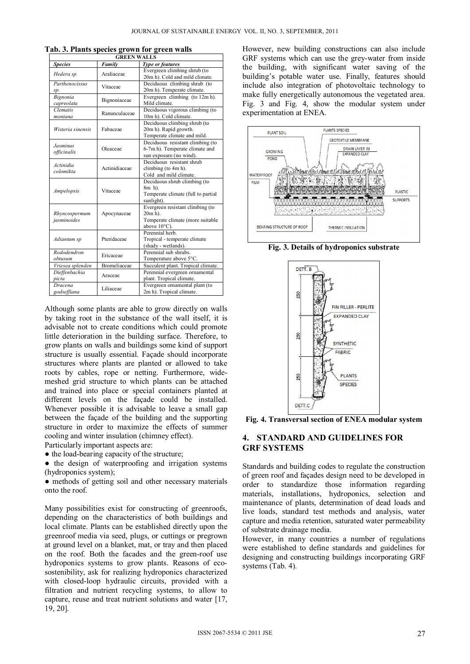| <b>GREEN WALLS</b>           |               |                                                                                                 |  |  |
|------------------------------|---------------|-------------------------------------------------------------------------------------------------|--|--|
| <b>Species</b>               | Family        | <b>Type or features</b>                                                                         |  |  |
| Hedera sp                    | Araliaceae    | Evergreen climbing shrub (to<br>20m h). Cold and mild climate.                                  |  |  |
| Parthenocissus<br>sp.        | Vitaceae      | Deciduous climbing shrub (to<br>20m h). Temperate climate.                                      |  |  |
| Bignonia<br>capreolata       | Bignoniaceae  | Evergreen climbing (to 12m h).<br>Mild climate.                                                 |  |  |
| <b>Clematis</b><br>montana   | Ranunculaceae | Deciduous vigorous climbing (to<br>10m h). Cold climate.                                        |  |  |
| Wisteria sinensis            | Fabaceae      | Deciduous climbing shrub (to<br>20m h). Rapid growth.<br>Temperate climate and mild.            |  |  |
| Jasminus<br>officinalis      | Oleaceae      | Deciduous resistant climbing (to<br>6-7m h). Temperate climate and<br>sun exposure (no wind).   |  |  |
| Actinidia<br>colomikta       | Actinidiaceae | Deciduous resistant shrub<br>climbing (to $4m$ h).<br>Cold and mild climate.                    |  |  |
| Ampelopsis                   | Vitaceae      | Deciduous shrub climbing (to<br>8m h).<br>Temperate climate (full to partial<br>sunlight).      |  |  |
| Rhyncospermum<br>jasminoides | Apocynaceae   | Evergreen resistant climbing (to<br>20m h).<br>Temperate climate (more suitable<br>above 10°C). |  |  |
| Adiantum sp                  | Pteridaceae   | Perennial herb.<br>Tropical - temperate climate<br>(shady - wetlands).                          |  |  |
| Rododendron<br>obtusum       | Ericaceae     | Perennial sub shrubs.<br>Temperature above 5°C.                                                 |  |  |
| Vriesea splenden             | Bromeliaceae  | Succulent plant. Tropical climate.                                                              |  |  |
| Dieffenbachia<br>picta       | Araceae       | Perennial evergreen ornamental<br>plant. Tropical climate.                                      |  |  |
| Dracena<br>godseffiana       | Liliaceae     | Evergreen ornamental plant (to<br>2m h). Tropical climate.                                      |  |  |

**Tab. 3. Plants species grown for green walls** 

Although some plants are able to grow directly on walls by taking root in the substance of the wall itself, it is advisable not to create conditions which could promote little deterioration in the building surface. Therefore, to grow plants on walls and buildings some kind of support structure is usually essential. Façade should incorporate structures where plants are planted or allowed to take roots by cables, rope or netting. Furthermore, widemeshed grid structure to which plants can be attached and trained into place or special containers planted at different levels on the façade could be installed. Whenever possible it is advisable to leave a small gap between the façade of the building and the supporting structure in order to maximize the effects of summer cooling and winter insulation (chimney effect). Particularly important aspects are:

• the load-bearing capacity of the structure;

• the design of waterproofing and irrigation systems (hydroponics system);

• methods of getting soil and other necessary materials onto the roof.

Many possibilities exist for constructing of greenroofs, depending on the characteristics of both buildings and local climate. Plants can be established directly upon the greenroof media via seed, plugs, or cuttings or pregrown at ground level on a blanket, mat, or tray and then placed on the roof. Both the facades and the green-roof use hydroponics systems to grow plants. Reasons of ecosostenibility, ask for realizing hydroponics characterized with closed-loop hydraulic circuits, provided with a filtration and nutrient recycling systems, to allow to capture, reuse and treat nutrient solutions and water [17, 19, 20].

However, new building constructions can also include GRF systems which can use the grey-water from inside the building, with significant water saving of the building's potable water use. Finally, features should include also integration of photovoltaic technology to make fully energetically autonomous the vegetated area. Fig. 3 and Fig. 4, show the modular system under experimentation at ENEA.



**Fig. 3. Details of hydroponics substrate** 



**Fig. 4. Transversal section of ENEA modular system** 

# **4. STANDARD AND GUIDELINES FOR GRF SYSTEMS**

Standards and building codes to regulate the construction of green roof and façades design need to be developed in order to standardize those information regarding materials, installations, hydroponics, selection and maintenance of plants, determination of dead loads and live loads, standard test methods and analysis, water capture and media retention, saturated water permeability of substrate drainage media.

However, in many countries a number of regulations were established to define standards and guidelines for designing and constructing buildings incorporating GRF systems (Tab. 4).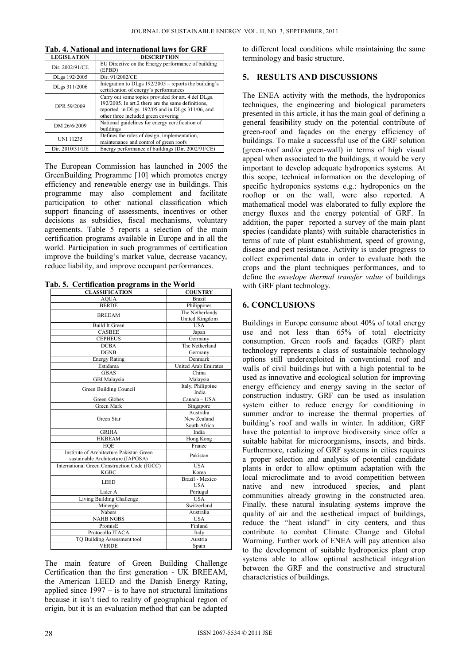| <b>LEGISLATION</b> | <b>DESCRIPTION</b>                                                                                                                                                                                   |
|--------------------|------------------------------------------------------------------------------------------------------------------------------------------------------------------------------------------------------|
| Dir. 2002/91/CE    | EU Directive on the Energy performance of building<br>(EPBD)                                                                                                                                         |
| DLgs 192/2005      | Dir. 91/2002/CE                                                                                                                                                                                      |
| DLgs 311/2006      | Integration to DLgs $192/2005$ – reports the building's<br>certification of energy's performances                                                                                                    |
| DPR 59/2009        | Carry out some topics provided for art. 4 del DLgs.<br>192/2005. In art.2 there are the same definitions,<br>reported in DLgs. 192/05 and in DLgs 311/06, and<br>other three included green covering |
| DM 26/6/2009       | National guidelines for energy certification of<br>buildings                                                                                                                                         |
| <b>UNI 11235</b>   | Defines the rules of design, implementation,<br>maintenance and control of green roofs                                                                                                               |
| Dir. 2010/31/UE    | Energy performance of buildings (Dir. 2002/91/CE)                                                                                                                                                    |

**Tab. 4. National and international laws for GRF** 

The European Commission has launched in 2005 the GreenBuilding Programme [10] which promotes energy efficiency and renewable energy use in buildings. This programme may also complement and facilitate participation to other national classification which support financing of assessments, incentives or other decisions as subsidies, fiscal mechanisms, voluntary agreements. Table 5 reports a selection of the main certification programs available in Europe and in all the world. Participation in such programmes of certification improve the building's market value, decrease vacancy, reduce liability, and improve occupant performances.

**Tab. 5. Certification programs in the World** 

| <b>CLASSIFICATION</b>                                                         | <b>COUNTRY</b>                |
|-------------------------------------------------------------------------------|-------------------------------|
| <b>AQUA</b>                                                                   | <b>Brazil</b>                 |
| <b>BERDE</b>                                                                  | Philippines                   |
| <b>BREEAM</b>                                                                 | The Netherlands               |
|                                                                               | United Kingdom                |
| <b>Build It Green</b>                                                         | <b>USA</b>                    |
| <b>CASBEE</b>                                                                 | Japan                         |
| <b>CEPHEUS</b>                                                                | Germany                       |
| D <sub>CBA</sub>                                                              | The Netherland                |
| <b>DGNB</b>                                                                   | Germany                       |
| <b>Energy Rating</b>                                                          | Denmark                       |
| Estidama                                                                      | <b>United Arab Emirates</b>   |
| <b>GBAS</b>                                                                   | China                         |
| GBI Malaysia                                                                  | Malaysia                      |
| Green Building Council                                                        | Italy, Philippine             |
|                                                                               | India                         |
| Green Globes                                                                  | Canada - USA                  |
| <b>Green Mark</b>                                                             | Singapore                     |
|                                                                               | Australia                     |
| Green Star                                                                    | New Zealand                   |
|                                                                               | South Africa                  |
| <b>GRIHA</b>                                                                  | India                         |
| <b>HKBEAM</b>                                                                 | Hong Kong                     |
| <b>HOE</b>                                                                    | France                        |
| Institute of Architecture Pakistan Green<br>sustainable Architecture (IAPGSA) | Pakistan                      |
| International Green Construction Code (IGCC)                                  | <b>USA</b>                    |
| <b>KGBC</b>                                                                   | Korea                         |
| <b>LEED</b>                                                                   | Brazil - Mexico<br><b>USA</b> |
| Lider A                                                                       | Portugal                      |
| Living Building Challenge                                                     | USA                           |
| Minergie                                                                      | Switzerland                   |
| Nabers                                                                        | Australia                     |
| <b>NAHB NGBS</b>                                                              | USA                           |
| PromisE                                                                       | Finland                       |
| Protocollo ITACA                                                              | Italy                         |
| TQ Building Assessment tool                                                   | Austria                       |
| <b>VERDE</b>                                                                  | Spain                         |

The main feature of Green Building Challenge Certification than the first generation - UK BREEAM, the American LEED and the Danish Energy Rating, applied since  $1997 -$  is to have not structural limitations because it isn't tied to reality of geographical region of origin, but it is an evaluation method that can be adapted to different local conditions while maintaining the same terminology and basic structure.

# **5. RESULTS AND DISCUSSIONS**

The ENEA activity with the methods, the hydroponics techniques, the engineering and biological parameters presented in this article, it has the main goal of defining a general feasibility study on the potential contribute of green-roof and façades on the energy efficiency of buildings. To make a successful use of the GRF solution (green-roof and/or green-wall) in terms of high visual appeal when associated to the buildings, it would be very important to develop adequate hydroponics systems. At this scope, technical information on the developing of specific hydroponics systems e.g.: hydroponics on the rooftop or on the wall, were also reported. A mathematical model was elaborated to fully explore the energy fluxes and the energy potential of GRF. In addition, the paper reported a survey of the main plant species (candidate plants) with suitable characteristics in terms of rate of plant establishment, speed of growing, disease and pest resistance. Activity is under progress to collect experimental data in order to evaluate both the crops and the plant techniques performances, and to define the *envelope thermal transfer value* of buildings with GRF plant technology.

## **6. CONCLUSIONS**

Buildings in Europe consume about 40% of total energy use and not less than 65% of total electricity consumption. Green roofs and façades (GRF) plant technology represents a class of sustainable technology options still underexploited in conventional roof and walls of civil buildings but with a high potential to be used as innovative and ecological solution for improving energy efficiency and energy saving in the sector of construction industry. GRF can be used as insulation system either to reduce energy for conditioning in summer and/or to increase the thermal properties of building's roof and walls in winter. In addition, GRF have the potential to improve biodiversity since offer a suitable habitat for microorganisms, insects, and birds. Furthermore, realizing of GRF systems in cities requires a proper selection and analysis of potential candidate plants in order to allow optimum adaptation with the local microclimate and to avoid competition between native and new introduced species, and plant communities already growing in the constructed area. Finally, these natural insulating systems improve the quality of air and the aesthetical impact of buildings, reduce the "heat island" in city centers, and thus contribute to combat Climate Change and Global Warming. Further work of ENEA will pay attention also to the development of suitable hydroponics plant crop systems able to allow optimal aesthetical integration between the GRF and the constructive and structural characteristics of buildings.